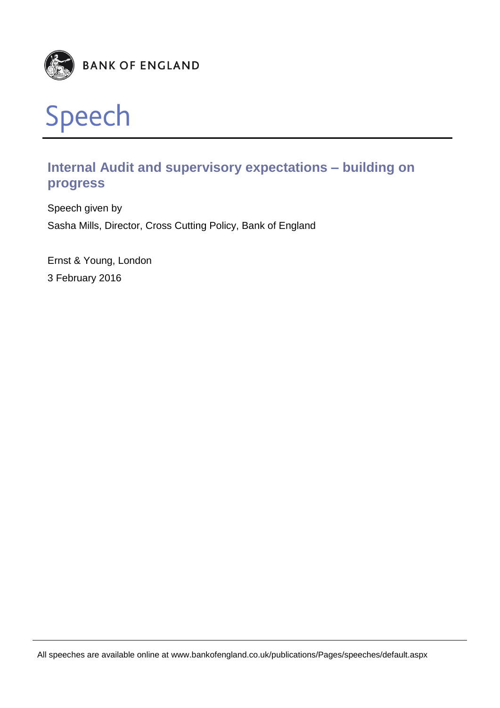



# **Internal Audit and supervisory expectations – building on progress**

Speech given by Sasha Mills, Director, Cross Cutting Policy, Bank of England

Ernst & Young, London 3 February 2016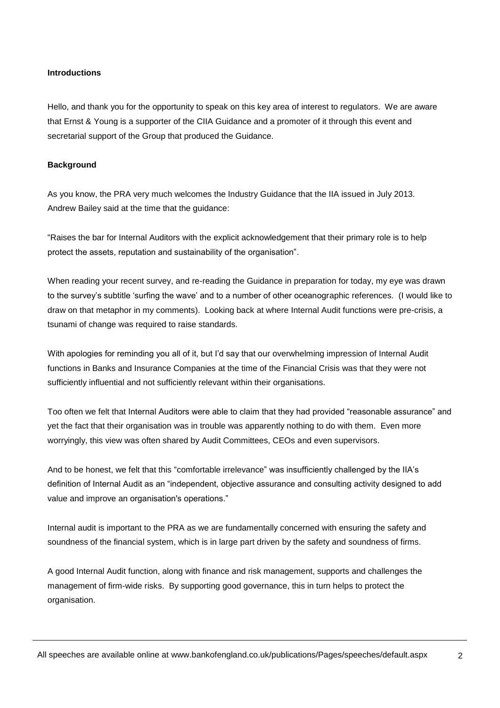# **Introductions**

Hello, and thank you for the opportunity to speak on this key area of interest to regulators. We are aware that Ernst & Young is a supporter of the CIIA Guidance and a promoter of it through this event and secretarial support of the Group that produced the Guidance.

## **Background**

As you know, the PRA very much welcomes the Industry Guidance that the IIA issued in July 2013. Andrew Bailey said at the time that the guidance:

"Raises the bar for Internal Auditors with the explicit acknowledgement that their primary role is to help protect the assets, reputation and sustainability of the organisation".

When reading your recent survey, and re-reading the Guidance in preparation for today, my eye was drawn to the survey's subtitle 'surfing the wave' and to a number of other oceanographic references. (I would like to draw on that metaphor in my comments). Looking back at where Internal Audit functions were pre-crisis, a tsunami of change was required to raise standards.

With apologies for reminding you all of it, but I'd say that our overwhelming impression of Internal Audit functions in Banks and Insurance Companies at the time of the Financial Crisis was that they were not sufficiently influential and not sufficiently relevant within their organisations.

Too often we felt that Internal Auditors were able to claim that they had provided "reasonable assurance" and yet the fact that their organisation was in trouble was apparently nothing to do with them. Even more worryingly, this view was often shared by Audit Committees, CEOs and even supervisors.

And to be honest, we felt that this "comfortable irrelevance" was insufficiently challenged by the IIA's definition of Internal Audit as an "independent, objective assurance and consulting activity designed to add value and improve an organisation's operations."

Internal audit is important to the PRA as we are fundamentally concerned with ensuring the safety and soundness of the financial system, which is in large part driven by the safety and soundness of firms.

A good Internal Audit function, along with finance and risk management, supports and challenges the management of firm-wide risks. By supporting good governance, this in turn helps to protect the organisation.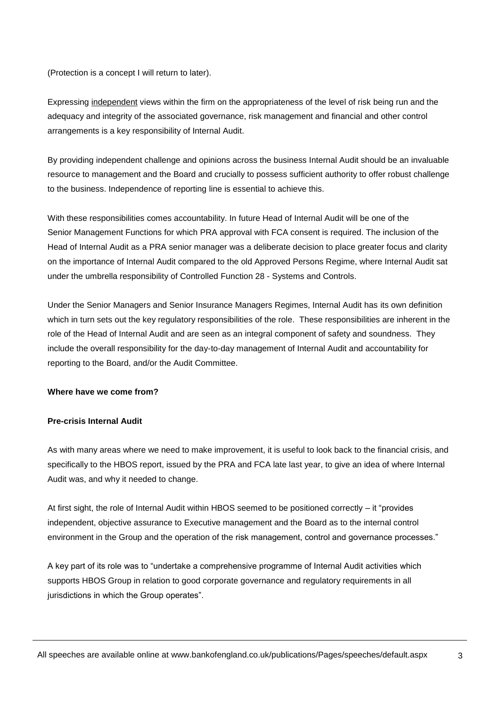(Protection is a concept I will return to later).

Expressing independent views within the firm on the appropriateness of the level of risk being run and the adequacy and integrity of the associated governance, risk management and financial and other control arrangements is a key responsibility of Internal Audit.

By providing independent challenge and opinions across the business Internal Audit should be an invaluable resource to management and the Board and crucially to possess sufficient authority to offer robust challenge to the business. Independence of reporting line is essential to achieve this.

With these responsibilities comes accountability. In future Head of Internal Audit will be one of the Senior Management Functions for which PRA approval with FCA consent is required. The inclusion of the Head of Internal Audit as a PRA senior manager was a deliberate decision to place greater focus and clarity on the importance of Internal Audit compared to the old Approved Persons Regime, where Internal Audit sat under the umbrella responsibility of Controlled Function 28 - Systems and Controls.

Under the Senior Managers and Senior Insurance Managers Regimes, Internal Audit has its own definition which in turn sets out the key regulatory responsibilities of the role. These responsibilities are inherent in the role of the Head of Internal Audit and are seen as an integral component of safety and soundness. They include the overall responsibility for the day-to-day management of Internal Audit and accountability for reporting to the Board, and/or the Audit Committee.

# **Where have we come from?**

# **Pre-crisis Internal Audit**

As with many areas where we need to make improvement, it is useful to look back to the financial crisis, and specifically to the HBOS report, issued by the PRA and FCA late last year, to give an idea of where Internal Audit was, and why it needed to change.

At first sight, the role of Internal Audit within HBOS seemed to be positioned correctly – it "provides independent, objective assurance to Executive management and the Board as to the internal control environment in the Group and the operation of the risk management, control and governance processes."

A key part of its role was to "undertake a comprehensive programme of Internal Audit activities which supports HBOS Group in relation to good corporate governance and regulatory requirements in all jurisdictions in which the Group operates".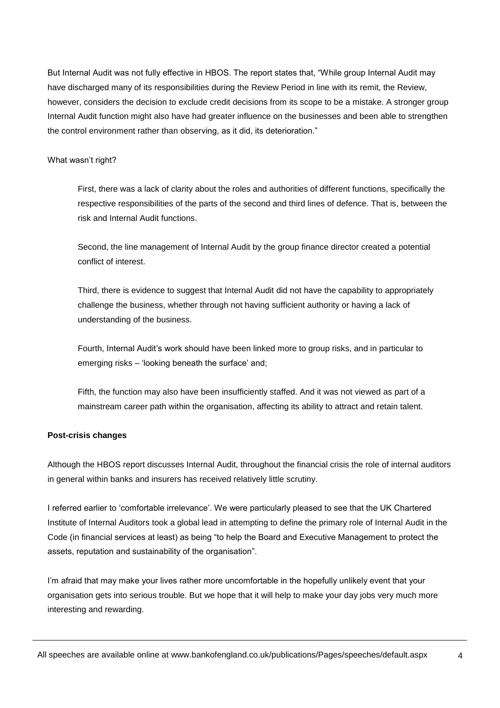But Internal Audit was not fully effective in HBOS. The report states that, "While group Internal Audit may have discharged many of its responsibilities during the Review Period in line with its remit, the Review, however, considers the decision to exclude credit decisions from its scope to be a mistake. A stronger group Internal Audit function might also have had greater influence on the businesses and been able to strengthen the control environment rather than observing, as it did, its deterioration."

#### What wasn't right?

First, there was a lack of clarity about the roles and authorities of different functions, specifically the respective responsibilities of the parts of the second and third lines of defence. That is, between the risk and Internal Audit functions.

Second, the line management of Internal Audit by the group finance director created a potential conflict of interest.

Third, there is evidence to suggest that Internal Audit did not have the capability to appropriately challenge the business, whether through not having sufficient authority or having a lack of understanding of the business.

Fourth, Internal Audit's work should have been linked more to group risks, and in particular to emerging risks – 'looking beneath the surface' and;

Fifth, the function may also have been insufficiently staffed. And it was not viewed as part of a mainstream career path within the organisation, affecting its ability to attract and retain talent.

# **Post-crisis changes**

Although the HBOS report discusses Internal Audit, throughout the financial crisis the role of internal auditors in general within banks and insurers has received relatively little scrutiny.

I referred earlier to 'comfortable irrelevance'. We were particularly pleased to see that the UK Chartered Institute of Internal Auditors took a global lead in attempting to define the primary role of Internal Audit in the Code (in financial services at least) as being "to help the Board and Executive Management to protect the assets, reputation and sustainability of the organisation".

I'm afraid that may make your lives rather more uncomfortable in the hopefully unlikely event that your organisation gets into serious trouble. But we hope that it will help to make your day jobs very much more interesting and rewarding.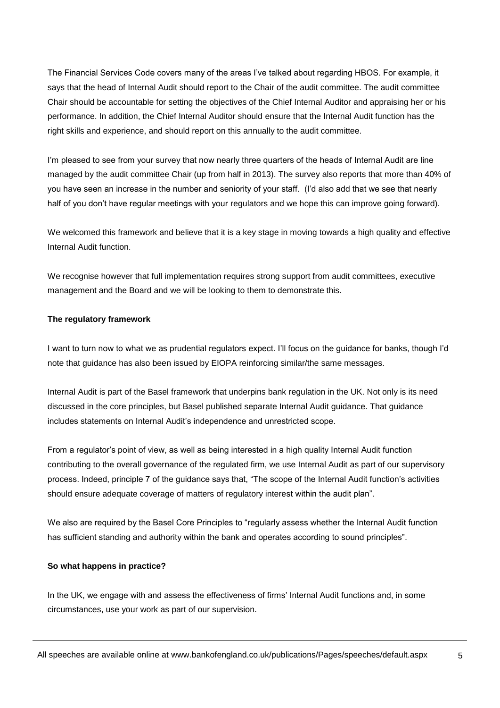The Financial Services Code covers many of the areas I've talked about regarding HBOS. For example, it says that the head of Internal Audit should report to the Chair of the audit committee. The audit committee Chair should be accountable for setting the objectives of the Chief Internal Auditor and appraising her or his performance. In addition, the Chief Internal Auditor should ensure that the Internal Audit function has the right skills and experience, and should report on this annually to the audit committee.

I'm pleased to see from your survey that now nearly three quarters of the heads of Internal Audit are line managed by the audit committee Chair (up from half in 2013). The survey also reports that more than 40% of you have seen an increase in the number and seniority of your staff. (I'd also add that we see that nearly half of you don't have regular meetings with your regulators and we hope this can improve going forward).

We welcomed this framework and believe that it is a key stage in moving towards a high quality and effective Internal Audit function.

We recognise however that full implementation requires strong support from audit committees, executive management and the Board and we will be looking to them to demonstrate this.

## **The regulatory framework**

I want to turn now to what we as prudential regulators expect. I'll focus on the guidance for banks, though I'd note that guidance has also been issued by EIOPA reinforcing similar/the same messages.

Internal Audit is part of the Basel framework that underpins bank regulation in the UK. Not only is its need discussed in the core principles, but Basel published separate Internal Audit guidance. That guidance includes statements on Internal Audit's independence and unrestricted scope.

From a regulator's point of view, as well as being interested in a high quality Internal Audit function contributing to the overall governance of the regulated firm, we use Internal Audit as part of our supervisory process. Indeed, principle 7 of the guidance says that, "The scope of the Internal Audit function's activities should ensure adequate coverage of matters of regulatory interest within the audit plan".

We also are required by the Basel Core Principles to "regularly assess whether the Internal Audit function has sufficient standing and authority within the bank and operates according to sound principles".

#### **So what happens in practice?**

In the UK, we engage with and assess the effectiveness of firms' Internal Audit functions and, in some circumstances, use your work as part of our supervision.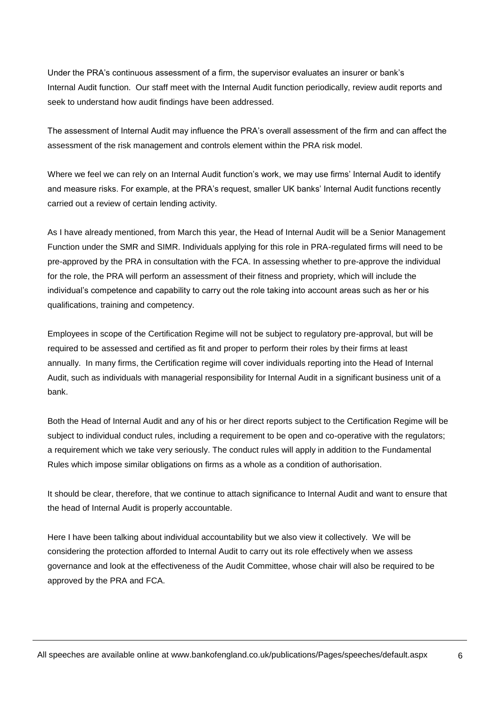Under the PRA's continuous assessment of a firm, the supervisor evaluates an insurer or bank's Internal Audit function. Our staff meet with the Internal Audit function periodically, review audit reports and seek to understand how audit findings have been addressed.

The assessment of Internal Audit may influence the PRA's overall assessment of the firm and can affect the assessment of the risk management and controls element within the PRA risk model.

Where we feel we can rely on an Internal Audit function's work, we may use firms' Internal Audit to identify and measure risks. For example, at the PRA's request, smaller UK banks' Internal Audit functions recently carried out a review of certain lending activity.

As I have already mentioned, from March this year, the Head of Internal Audit will be a Senior Management Function under the SMR and SIMR. Individuals applying for this role in PRA-regulated firms will need to be pre-approved by the PRA in consultation with the FCA. In assessing whether to pre-approve the individual for the role, the PRA will perform an assessment of their fitness and propriety, which will include the individual's competence and capability to carry out the role taking into account areas such as her or his qualifications, training and competency.

Employees in scope of the Certification Regime will not be subject to regulatory pre-approval, but will be required to be assessed and certified as fit and proper to perform their roles by their firms at least annually. In many firms, the Certification regime will cover individuals reporting into the Head of Internal Audit, such as individuals with managerial responsibility for Internal Audit in a significant business unit of a bank.

Both the Head of Internal Audit and any of his or her direct reports subject to the Certification Regime will be subject to individual conduct rules, including a requirement to be open and co-operative with the regulators; a requirement which we take very seriously. The conduct rules will apply in addition to the Fundamental Rules which impose similar obligations on firms as a whole as a condition of authorisation.

It should be clear, therefore, that we continue to attach significance to Internal Audit and want to ensure that the head of Internal Audit is properly accountable.

Here I have been talking about individual accountability but we also view it collectively. We will be considering the protection afforded to Internal Audit to carry out its role effectively when we assess governance and look at the effectiveness of the Audit Committee, whose chair will also be required to be approved by the PRA and FCA.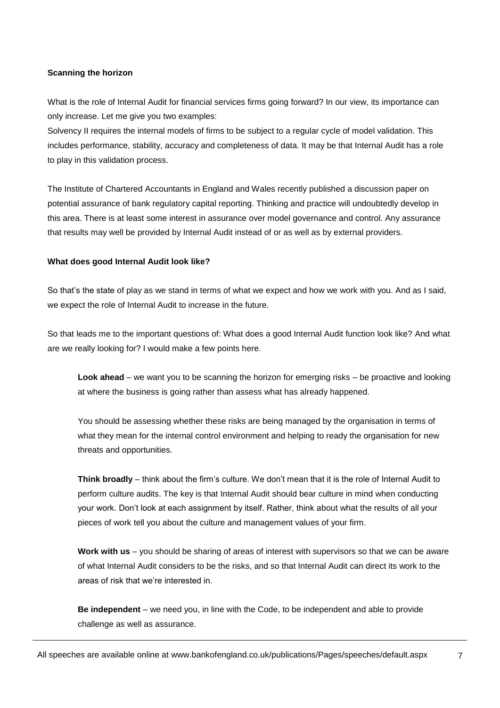# **Scanning the horizon**

What is the role of Internal Audit for financial services firms going forward? In our view, its importance can only increase. Let me give you two examples:

Solvency II requires the internal models of firms to be subject to a regular cycle of model validation. This includes performance, stability, accuracy and completeness of data. It may be that Internal Audit has a role to play in this validation process.

The Institute of Chartered Accountants in England and Wales recently published a discussion paper on potential assurance of bank regulatory capital reporting. Thinking and practice will undoubtedly develop in this area. There is at least some interest in assurance over model governance and control. Any assurance that results may well be provided by Internal Audit instead of or as well as by external providers.

## **What does good Internal Audit look like?**

So that's the state of play as we stand in terms of what we expect and how we work with you. And as I said, we expect the role of Internal Audit to increase in the future.

So that leads me to the important questions of: What does a good Internal Audit function look like? And what are we really looking for? I would make a few points here.

**Look ahead** – we want you to be scanning the horizon for emerging risks – be proactive and looking at where the business is going rather than assess what has already happened.

You should be assessing whether these risks are being managed by the organisation in terms of what they mean for the internal control environment and helping to ready the organisation for new threats and opportunities.

**Think broadly** – think about the firm's culture. We don't mean that it is the role of Internal Audit to perform culture audits. The key is that Internal Audit should bear culture in mind when conducting your work. Don't look at each assignment by itself. Rather, think about what the results of all your pieces of work tell you about the culture and management values of your firm.

**Work with us** – you should be sharing of areas of interest with supervisors so that we can be aware of what Internal Audit considers to be the risks, and so that Internal Audit can direct its work to the areas of risk that we're interested in.

**Be independent** – we need you, in line with the Code, to be independent and able to provide challenge as well as assurance.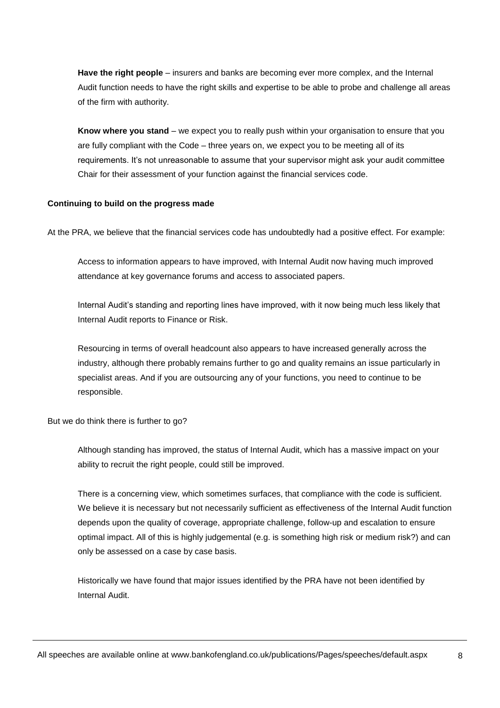**Have the right people** – insurers and banks are becoming ever more complex, and the Internal Audit function needs to have the right skills and expertise to be able to probe and challenge all areas of the firm with authority.

**Know where you stand** – we expect you to really push within your organisation to ensure that you are fully compliant with the Code – three years on, we expect you to be meeting all of its requirements. It's not unreasonable to assume that your supervisor might ask your audit committee Chair for their assessment of your function against the financial services code.

## **Continuing to build on the progress made**

At the PRA, we believe that the financial services code has undoubtedly had a positive effect. For example:

Access to information appears to have improved, with Internal Audit now having much improved attendance at key governance forums and access to associated papers.

Internal Audit's standing and reporting lines have improved, with it now being much less likely that Internal Audit reports to Finance or Risk.

Resourcing in terms of overall headcount also appears to have increased generally across the industry, although there probably remains further to go and quality remains an issue particularly in specialist areas. And if you are outsourcing any of your functions, you need to continue to be responsible.

But we do think there is further to go?

Although standing has improved, the status of Internal Audit, which has a massive impact on your ability to recruit the right people, could still be improved.

There is a concerning view, which sometimes surfaces, that compliance with the code is sufficient. We believe it is necessary but not necessarily sufficient as effectiveness of the Internal Audit function depends upon the quality of coverage, appropriate challenge, follow-up and escalation to ensure optimal impact. All of this is highly judgemental (e.g. is something high risk or medium risk?) and can only be assessed on a case by case basis.

Historically we have found that major issues identified by the PRA have not been identified by Internal Audit.